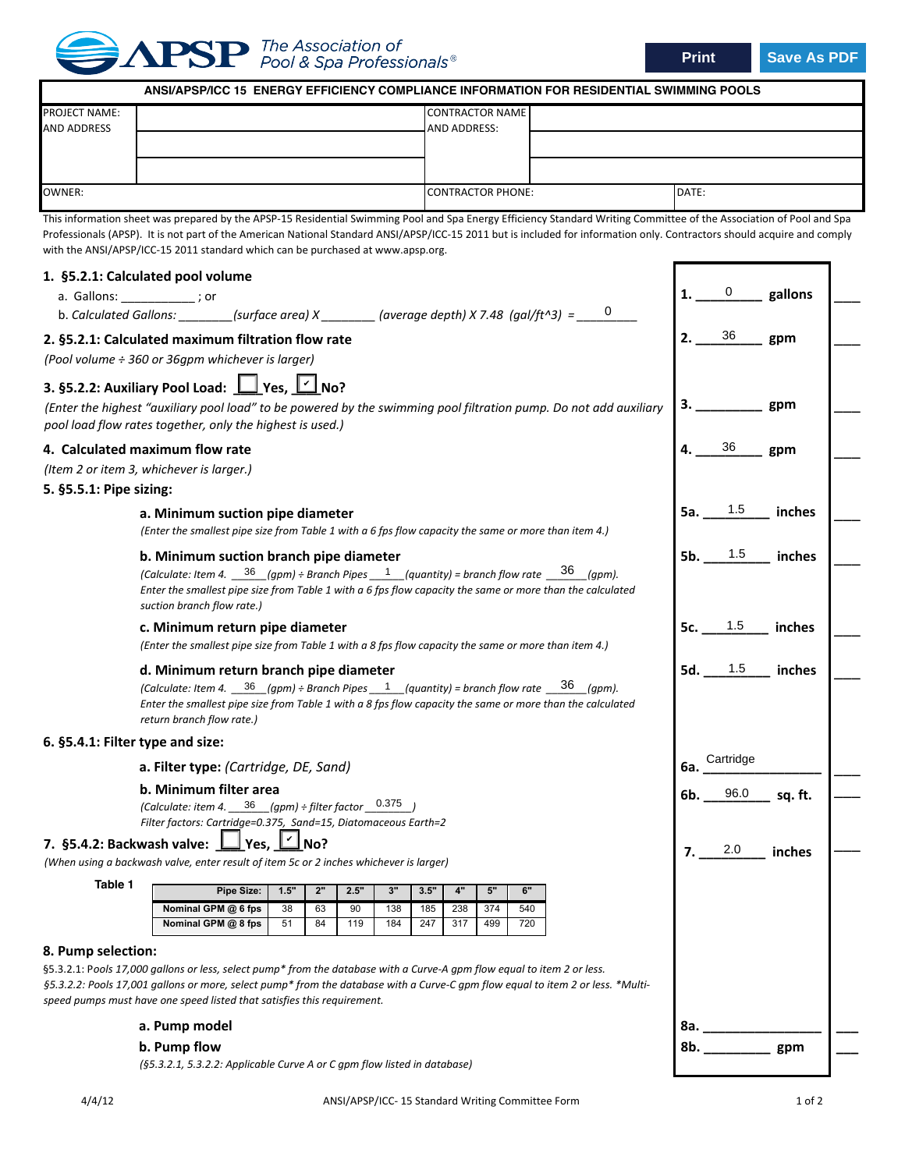

**Print Save As PDF**

|                                                                                                                                                                                                                                                                                                                 | ANSI/APSP/ICC 15 ENERGY EFFICIENCY COMPLIANCE INFORMATION FOR RESIDENTIAL SWIMMING POOLS                                                                                                                                                                                                                                                                                                                                            |          |          |           |            |            |                          |                        |            |        |           |         |        |     |  |
|-----------------------------------------------------------------------------------------------------------------------------------------------------------------------------------------------------------------------------------------------------------------------------------------------------------------|-------------------------------------------------------------------------------------------------------------------------------------------------------------------------------------------------------------------------------------------------------------------------------------------------------------------------------------------------------------------------------------------------------------------------------------|----------|----------|-----------|------------|------------|--------------------------|------------------------|------------|--------|-----------|---------|--------|-----|--|
| <b>PROJECT NAME:</b><br><b>AND ADDRESS</b>                                                                                                                                                                                                                                                                      |                                                                                                                                                                                                                                                                                                                                                                                                                                     |          |          |           |            |            |                          | <b>CONTRACTOR NAME</b> |            |        |           |         |        |     |  |
|                                                                                                                                                                                                                                                                                                                 |                                                                                                                                                                                                                                                                                                                                                                                                                                     |          |          |           |            |            | AND ADDRESS:             |                        |            |        |           |         |        |     |  |
|                                                                                                                                                                                                                                                                                                                 |                                                                                                                                                                                                                                                                                                                                                                                                                                     |          |          |           |            |            |                          |                        |            |        |           |         |        |     |  |
| <b>OWNER:</b>                                                                                                                                                                                                                                                                                                   |                                                                                                                                                                                                                                                                                                                                                                                                                                     |          |          |           |            |            | <b>CONTRACTOR PHONE:</b> |                        |            |        |           | DATE:   |        |     |  |
|                                                                                                                                                                                                                                                                                                                 | This information sheet was prepared by the APSP-15 Residential Swimming Pool and Spa Energy Efficiency Standard Writing Committee of the Association of Pool and Spa<br>Professionals (APSP). It is not part of the American National Standard ANSI/APSP/ICC-15 2011 but is included for information only. Contractors should acquire and comply<br>with the ANSI/APSP/ICC-15 2011 standard which can be purchased at www.apsp.org. |          |          |           |            |            |                          |                        |            |        |           |         |        |     |  |
| 1. §5.2.1: Calculated pool volume<br>a. Gallons: ___________; or<br>b. Calculated Gallons: ________(surface area) $X$ ________(average depth) X 7.48 (gal/ft^3) = _____0                                                                                                                                        |                                                                                                                                                                                                                                                                                                                                                                                                                                     |          |          |           |            |            |                          |                        |            |        |           | gallons |        |     |  |
| 2. §5.2.1: Calculated maximum filtration flow rate<br>(Pool volume ÷ 360 or 36gpm whichever is larger)                                                                                                                                                                                                          |                                                                                                                                                                                                                                                                                                                                                                                                                                     |          |          |           |            |            |                          |                        |            | 2.     | 36        | gpm     |        |     |  |
| 3. §5.2.2: Auxiliary Pool Load: 1 Yes, 1 No?<br>(Enter the highest "auxiliary pool load" to be powered by the swimming pool filtration pump. Do not add auxiliary<br>pool load flow rates together, only the highest is used.)                                                                                  |                                                                                                                                                                                                                                                                                                                                                                                                                                     |          |          |           |            |            |                          |                        |            | gpm    |           |         |        |     |  |
| 4. Calculated maximum flow rate<br>(Item 2 or item 3, whichever is larger.)<br>5. §5.5.1: Pipe sizing:                                                                                                                                                                                                          |                                                                                                                                                                                                                                                                                                                                                                                                                                     |          |          |           |            |            |                          |                        |            | gpm    |           |         |        |     |  |
| a. Minimum suction pipe diameter<br>(Enter the smallest pipe size from Table 1 with a 6 fps flow capacity the same or more than item 4.)                                                                                                                                                                        |                                                                                                                                                                                                                                                                                                                                                                                                                                     |          |          |           |            |            |                          |                        |            |        | 1.5       | inches  |        |     |  |
| b. Minimum suction branch pipe diameter<br>(Calculate: Item 4. $\frac{36}{9}$ (gpm) ÷ Branch Pipes $\frac{1}{2}$ (quantity) = branch flow rate $\frac{36}{9}$ (gpm).<br>Enter the smallest pipe size from Table 1 with a 6 fps flow capacity the same or more than the calculated<br>suction branch flow rate.) |                                                                                                                                                                                                                                                                                                                                                                                                                                     |          |          |           |            |            |                          |                        |            | 5b.    | $1.5\,$   | inches  |        |     |  |
| c. Minimum return pipe diameter<br>(Enter the smallest pipe size from Table 1 with a 8 fps flow capacity the same or more than item 4.)                                                                                                                                                                         |                                                                                                                                                                                                                                                                                                                                                                                                                                     |          |          |           |            |            |                          |                        |            |        |           | 1.5     | inches |     |  |
| d. Minimum return branch pipe diameter<br>(Calculate: Item 4. $\frac{36}{9}$ (gpm) ÷ Branch Pipes $\frac{1}{9}$ (quantity) = branch flow rate $\frac{36}{9}$ (gpm).<br>Enter the smallest pipe size from Table 1 with a 8 fps flow capacity the same or more than the calculated<br>return branch flow rate.)   |                                                                                                                                                                                                                                                                                                                                                                                                                                     |          |          |           |            |            |                          |                        |            | 5d.    | 1.5       | inches  |        |     |  |
| 6. §5.4.1: Filter type and size:                                                                                                                                                                                                                                                                                |                                                                                                                                                                                                                                                                                                                                                                                                                                     |          |          |           |            |            |                          |                        |            |        |           |         |        |     |  |
| a. Filter type: (Cartridge, DE, Sand)                                                                                                                                                                                                                                                                           |                                                                                                                                                                                                                                                                                                                                                                                                                                     |          |          |           |            |            |                          |                        |            | 6а.    | Cartridge |         |        |     |  |
| b. Minimum filter area<br>(Calculate: item 4. $\frac{36}{\text{gpm}}$ (gpm) ÷ filter factor $\frac{0.375}{\text{gpm}}$<br>Filter factors: Cartridge=0.375, Sand=15, Diatomaceous Earth=2                                                                                                                        |                                                                                                                                                                                                                                                                                                                                                                                                                                     |          |          |           |            |            |                          |                        | 6b.        | 96.0   | sq. ft.   |         |        |     |  |
| 7. §5.4.2: Backwash valve: Lyes, LI No?<br>(When using a backwash valve, enter result of item 5c or 2 inches whichever is larger)                                                                                                                                                                               |                                                                                                                                                                                                                                                                                                                                                                                                                                     |          |          |           |            |            |                          |                        | 2.0        | inches |           |         |        |     |  |
| Table 1                                                                                                                                                                                                                                                                                                         | Pipe Size:                                                                                                                                                                                                                                                                                                                                                                                                                          | 1.5"     | 2"       | 2.5"      | 3"         | 3.5"       | 4"                       | $5"$                   | 6"         |        |           |         |        |     |  |
|                                                                                                                                                                                                                                                                                                                 | Nominal GPM @ 6 fps<br>Nominal GPM @ 8 fps                                                                                                                                                                                                                                                                                                                                                                                          | 38<br>51 | 63<br>84 | 90<br>119 | 138<br>184 | 185<br>247 | 238<br>317               | 374<br>499             | 540<br>720 |        |           |         |        |     |  |
| 8. Pump selection:                                                                                                                                                                                                                                                                                              | §5.3.2.1: Pools 17,000 gallons or less, select pump* from the database with a Curve-A gpm flow equal to item 2 or less.<br>§5.3.2.2: Pools 17,001 gallons or more, select pump* from the database with a Curve-C gpm flow equal to item 2 or less. *Multi-<br>speed pumps must have one speed listed that satisfies this requirement.<br>a. Pump model                                                                              |          |          |           |            |            |                          |                        |            |        |           | 8a.     |        |     |  |
|                                                                                                                                                                                                                                                                                                                 | b. Pump flow                                                                                                                                                                                                                                                                                                                                                                                                                        |          |          |           |            |            |                          |                        |            |        |           | 8b.     |        | gpm |  |

*(§5.3.2.1, 5.3.2.2: Applicable Curve A or C gpm flow listed in database)*